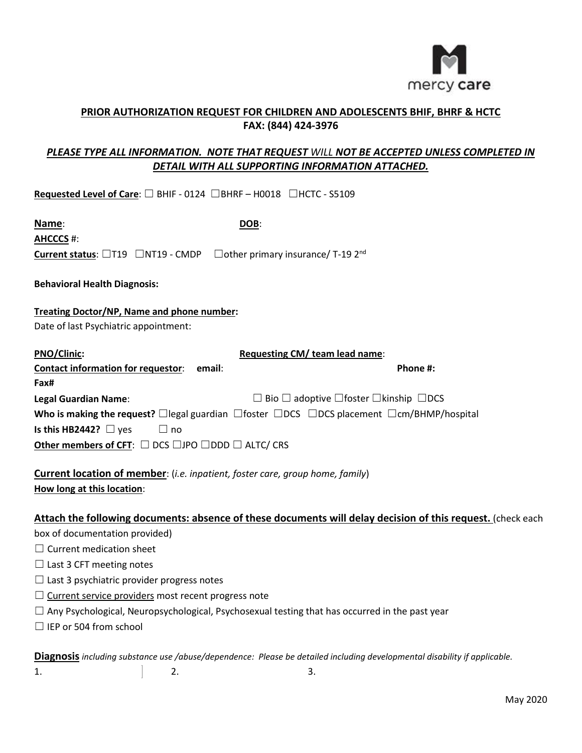

## *PLEASE TYPE ALL INFORMATION. NOTE THAT REQUEST WILL NOT BE ACCEPTED UNLESS COMPLETED IN DETAIL WITH ALL SUPPORTING INFORMATION ATTACHED.*

| Requested Level of Care: □ BHIF - 0124 □BHRF - H0018 □HCTC - S5109                                        |                                                                                                                           |          |
|-----------------------------------------------------------------------------------------------------------|---------------------------------------------------------------------------------------------------------------------------|----------|
| Name:                                                                                                     | DOB:                                                                                                                      |          |
| <b>AHCCCS #:</b>                                                                                          |                                                                                                                           |          |
| <b>Current status:</b> $\Box$ T19 $\Box$ NT19 - CMDP $\Box$ other primary insurance/ T-19 2 <sup>nd</sup> |                                                                                                                           |          |
| <b>Behavioral Health Diagnosis:</b>                                                                       |                                                                                                                           |          |
| <b>Treating Doctor/NP, Name and phone number:</b><br>Date of last Psychiatric appointment:                |                                                                                                                           |          |
| <b>PNO/Clinic:</b>                                                                                        | Requesting CM/ team lead name:                                                                                            |          |
| <b>Contact information for requestor:</b><br>Fax#                                                         | email:                                                                                                                    | Phone #: |
| <b>Legal Guardian Name:</b>                                                                               | $\Box$ Bio $\Box$ adoptive $\Box$ foster $\Box$ kinship $\Box$ DCS                                                        |          |
|                                                                                                           | Who is making the request? $\Box$ legal guardian $\Box$ foster $\Box$ DCS $\Box$ DCS placement $\Box$ cm/BHMP/hospital    |          |
| Is this HB2442? $\Box$ yes<br>$\square$ no                                                                |                                                                                                                           |          |
| Other members of CFT: $\Box$ DCS $\Box$ JPO $\Box$ DDD $\Box$ ALTC/ CRS                                   |                                                                                                                           |          |
| <b>Current location of member:</b> (i.e. inpatient, foster care, group home, family)                      |                                                                                                                           |          |
| How long at this location:                                                                                |                                                                                                                           |          |
|                                                                                                           | Attach the following documents: absence of these documents will delay decision of this request. (check each               |          |
| box of documentation provided)                                                                            |                                                                                                                           |          |
| $\Box$ Current medication sheet                                                                           |                                                                                                                           |          |
| $\Box$ Last 3 CFT meeting notes                                                                           |                                                                                                                           |          |
| $\Box$ Last 3 psychiatric provider progress notes                                                         |                                                                                                                           |          |
| $\Box$ Current service providers most recent progress note                                                |                                                                                                                           |          |
|                                                                                                           | $\Box$ Any Psychological, Neuropsychological, Psychosexual testing that has occurred in the past year                     |          |
| $\Box$ IEP or 504 from school                                                                             |                                                                                                                           |          |
|                                                                                                           | Diagnosis including substance use /abuse/dependence: Please be detailed including developmental disability if applicable. |          |

1.  $\qquad \qquad$  2.  $\qquad \qquad$  3.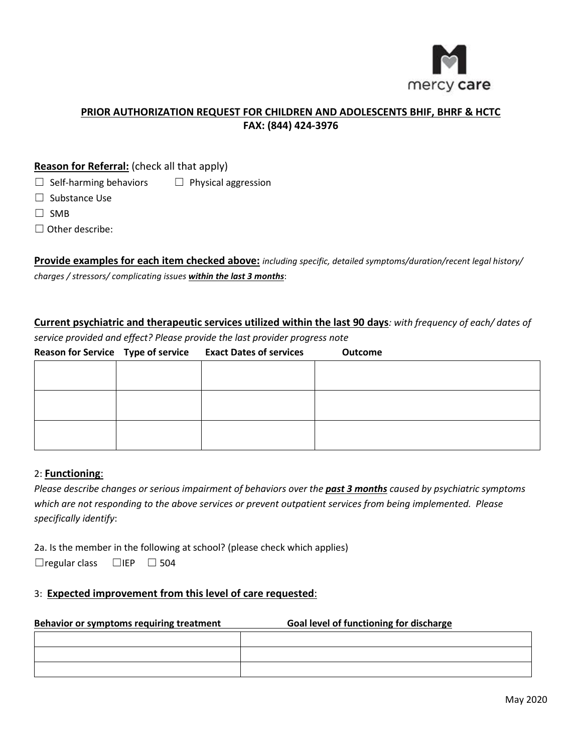

## **Reason for Referral:** (check all that apply)

 $\Box$  Self-harming behaviors  $\Box$  Physical aggression

□ Substance Use

☐ SMB

□ Other describe:

**Provide examples for each item checked above:** *including specific, detailed symptoms/duration/recent legal history/ charges / stressors/ complicating issues within the last 3 months*:

**Current psychiatric and therapeutic services utilized within the last 90 days***: with frequency of each/ dates of* 

*service provided and effect? Please provide the last provider progress note*

|  | Reason for Service Type of service Exact Dates of services | <b>Outcome</b> |
|--|------------------------------------------------------------|----------------|
|  |                                                            |                |
|  |                                                            |                |
|  |                                                            |                |
|  |                                                            |                |
|  |                                                            |                |
|  |                                                            |                |

## 2: **Functioning**:

*Please describe changes or serious impairment of behaviors over the past 3 months caused by psychiatric symptoms which are not responding to the above services or prevent outpatient services from being implemented. Please specifically identify*:

 $\Box$  regular class 2a. Is the member in the following at school? (please check which applies)  $\Box$ IEP  $\Box$  504

## 3: **Expected improvement from this level of care requested**:

### **Behavior or symptoms requiring treatment Goal level of functioning for discharge**

| <u> De Carlos de Carlos de Carlos de Carlos de Carlos de Carlos de Carlos de Carlos de Carlos de Carlos de Carlos </u> |  |
|------------------------------------------------------------------------------------------------------------------------|--|
|                                                                                                                        |  |
| <u> Alexandria (m. 1858)</u>                                                                                           |  |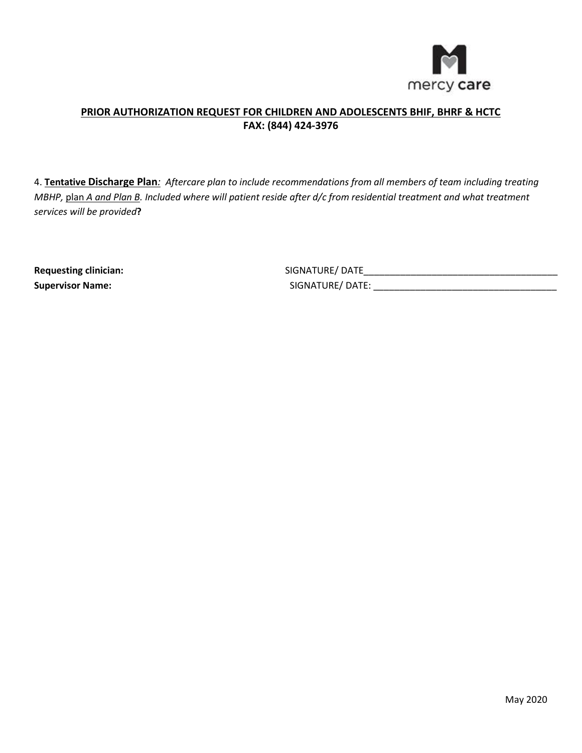

4. **Tentative Discharge Plan***: Aftercare plan to include recommendations from all members of team including treating MBHP,* plan *A and Plan B. Included where will patient reside after d/c from residential treatment and what treatment services will be provided***?**

**Requesting clinician:** 

\_\_\_\_\_\_\_\_\_\_\_\_\_\_\_\_\_\_\_\_\_\_\_\_\_\_\_\_\_\_\_\_\_\_\_\_\_ \_\_\_\_\_\_\_\_\_\_\_\_\_\_\_\_\_\_\_\_\_\_\_\_\_\_\_\_\_\_\_\_\_\_\_ **Supervisor Name:** SIGNATURE/ DATE: